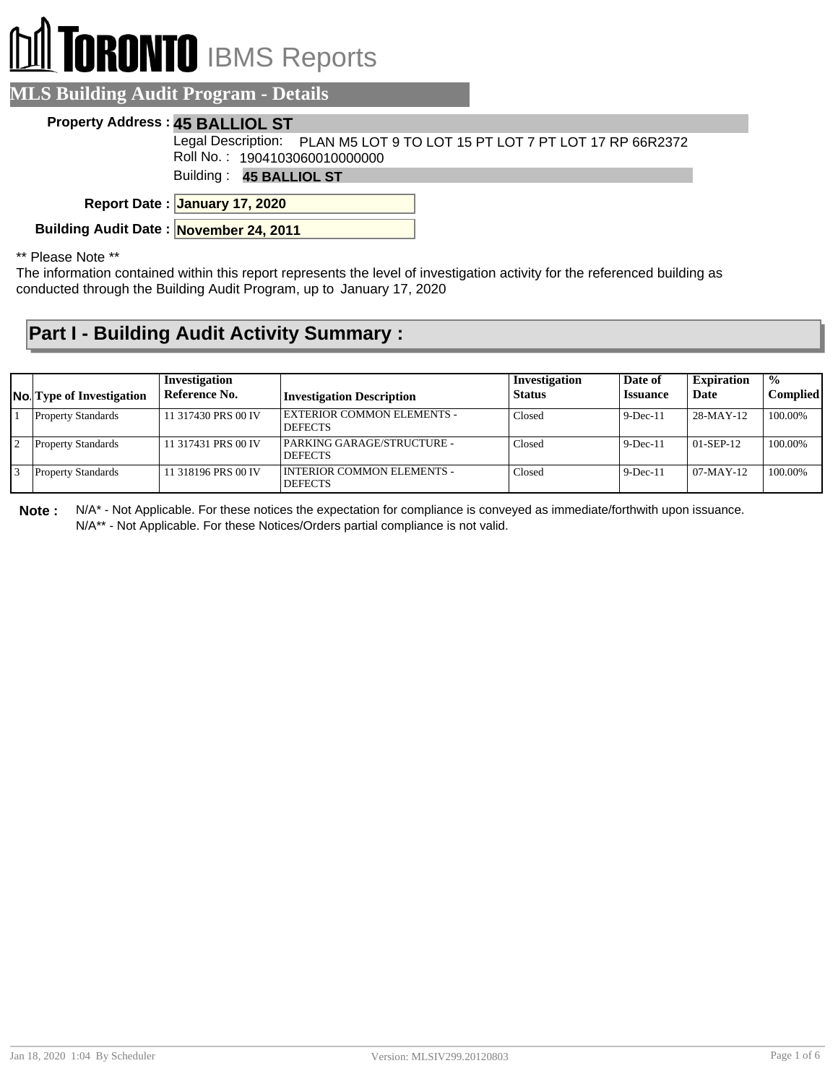# **RONTO** IBMS Reports

#### **MLS Building Audit Program - Details**

#### **Property Address : 45 BALLIOL ST**

Legal Description: PLAN M5 LOT 9 TO LOT 15 PT LOT 7 PT LOT 17 RP 66R2372 l Roll No. : 1904103060010000000

Building : **45 BALLIOL ST**

**January 17, 2020 Report Date :**

**Building Audit Date : November 24, 2011**

\*\* Please Note \*\*

The information contained within this report represents the level of investigation activity for the referenced building as conducted through the Building Audit Program, up to January 17, 2020

### **Part I - Building Audit Activity Summary :**

| <b>No.</b> Type of Investigation | Investigation<br>Reference No. | <b>Investigation Description</b>                    | Investigation<br><b>Status</b> | Date of<br><b>Issuance</b> | <b>Expiration</b><br>Date | $\frac{1}{2}$<br><b>Complied</b> |
|----------------------------------|--------------------------------|-----------------------------------------------------|--------------------------------|----------------------------|---------------------------|----------------------------------|
| <b>Property Standards</b>        | 11 317430 PRS 00 IV            | <b>EXTERIOR COMMON ELEMENTS -</b><br><b>DEFECTS</b> | Closed                         | $9$ -Dec-11                | $28-MAY-12$               | 100.00%                          |
| <b>Property Standards</b>        | 11 317431 PRS 00 IV            | PARKING GARAGE/STRUCTURE -<br><b>DEFECTS</b>        | Closed                         | $9$ -Dec-11                | $01-SEP-12$               | 100.00%                          |
| <b>Property Standards</b>        | 11 318196 PRS 00 IV            | I INTERIOR COMMON ELEMENTS -<br><b>DEFECTS</b>      | Closed                         | $9$ -Dec-11                | $07-MAY-12$               | 100.00%                          |

**Note :** N/A\* - Not Applicable. For these notices the expectation for compliance is conveyed as immediate/forthwith upon issuance. N/A\*\* - Not Applicable. For these Notices/Orders partial compliance is not valid.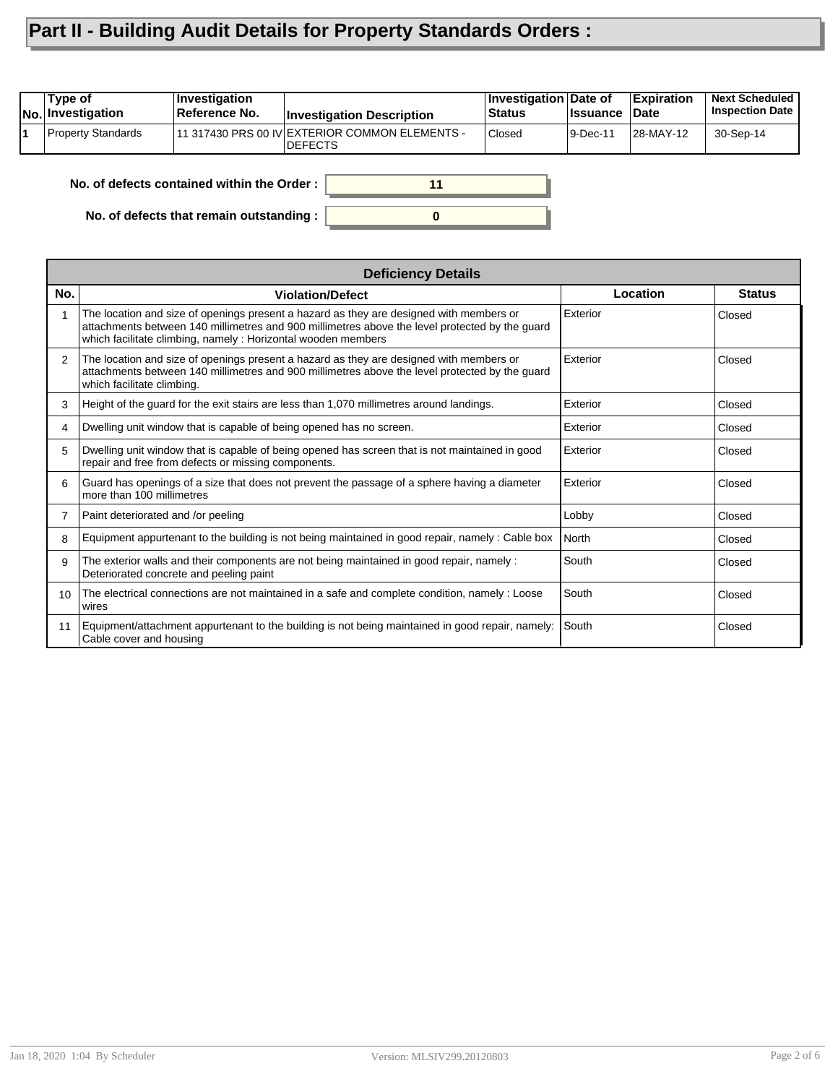## **Part II - Building Audit Details for Property Standards Orders :**

| Type of<br>No. Investigation | <b>Investigation</b><br>Reference No.      | <b>Investigation Description</b>                                   | Investigation Date of<br><b>Status</b> | <b>Issuance</b> | <b>Expiration</b><br><b>Date</b> | <b>Next Scheduled</b><br><b>Inspection Date</b> |
|------------------------------|--------------------------------------------|--------------------------------------------------------------------|----------------------------------------|-----------------|----------------------------------|-------------------------------------------------|
| Property Standards           |                                            | 111 317430 PRS 00 IV EXTERIOR COMMON ELEMENTS -<br><b>IDEFECTS</b> | Closed                                 | 9-Dec-11        | 28-MAY-12                        | 30-Sep-14                                       |
|                              | No. of defects contained within the Order: | 11                                                                 |                                        |                 |                                  |                                                 |

**0**

**No. of defects that remain outstanding :**

|                 | <b>Deficiency Details</b>                                                                                                                                                                                                                                  |          |               |
|-----------------|------------------------------------------------------------------------------------------------------------------------------------------------------------------------------------------------------------------------------------------------------------|----------|---------------|
| No.             | <b>Violation/Defect</b>                                                                                                                                                                                                                                    | Location | <b>Status</b> |
| 1               | The location and size of openings present a hazard as they are designed with members or<br>attachments between 140 millimetres and 900 millimetres above the level protected by the guard<br>which facilitate climbing, namely : Horizontal wooden members | Exterior | Closed        |
| $\mathcal{P}$   | The location and size of openings present a hazard as they are designed with members or<br>attachments between 140 millimetres and 900 millimetres above the level protected by the guard<br>which facilitate climbing.                                    | Exterior | Closed        |
| 3               | Height of the quard for the exit stairs are less than 1,070 millimetres around landings.                                                                                                                                                                   | Exterior | Closed        |
| 4               | Dwelling unit window that is capable of being opened has no screen.                                                                                                                                                                                        | Exterior | Closed        |
| 5               | Dwelling unit window that is capable of being opened has screen that is not maintained in good<br>repair and free from defects or missing components.                                                                                                      | Exterior | Closed        |
| 6               | Guard has openings of a size that does not prevent the passage of a sphere having a diameter<br>more than 100 millimetres                                                                                                                                  | Exterior | Closed        |
| 7               | Paint deteriorated and /or peeling                                                                                                                                                                                                                         | Lobby    | Closed        |
| 8               | Equipment appurtenant to the building is not being maintained in good repair, namely: Cable box                                                                                                                                                            | North    | Closed        |
| 9               | The exterior walls and their components are not being maintained in good repair, namely :<br>Deteriorated concrete and peeling paint                                                                                                                       | South    | Closed        |
| 10 <sup>°</sup> | The electrical connections are not maintained in a safe and complete condition, namely : Loose<br>wires                                                                                                                                                    | South    | Closed        |
| 11              | Equipment/attachment appurtenant to the building is not being maintained in good repair, namely:<br>Cable cover and housing                                                                                                                                | South    | Closed        |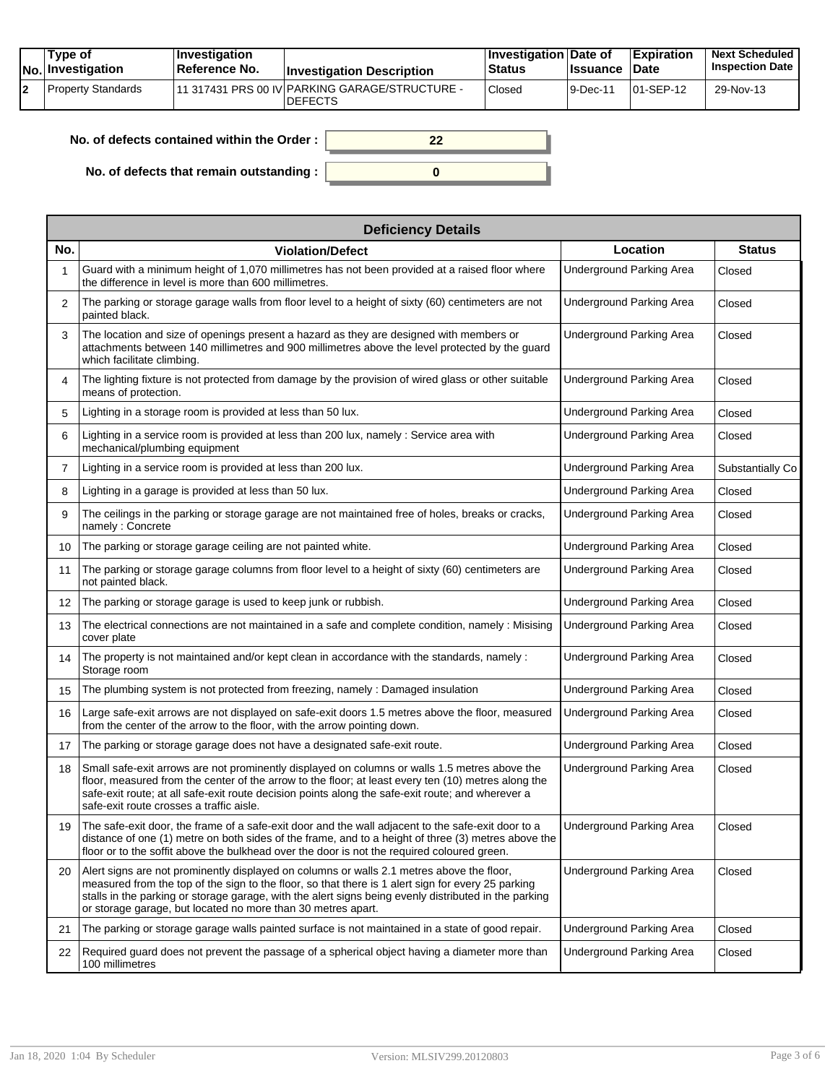|    | Tvpe of<br>No. Investigation | $\blacksquare$ Investigation<br>Reference No. | <b>Investigation Description</b>                                 | <b>Investigation Date of</b><br><b>Status</b> | <b>Issuance</b> | <b>Expiration</b><br>Date | <b>Next Scheduled</b><br><b>Inspection Date</b> |
|----|------------------------------|-----------------------------------------------|------------------------------------------------------------------|-----------------------------------------------|-----------------|---------------------------|-------------------------------------------------|
| 12 | Property Standards           |                                               | 11 317431 PRS 00 IV PARKING GARAGE/STRUCTURE -<br><b>DEFECTS</b> | <sup>'</sup> Closed                           | 9-Dec-11        | 101-SEP-12                | 29-Nov-13                                       |

| No. of defects contained within the Order : |  |
|---------------------------------------------|--|
| No. of defects that remain outstanding :    |  |

|     | <b>Deficiency Details</b>                                                                                                                                                                                                                                                                                                                                                |                                 |                  |  |  |  |  |  |
|-----|--------------------------------------------------------------------------------------------------------------------------------------------------------------------------------------------------------------------------------------------------------------------------------------------------------------------------------------------------------------------------|---------------------------------|------------------|--|--|--|--|--|
| No. | <b>Violation/Defect</b>                                                                                                                                                                                                                                                                                                                                                  | Location                        | <b>Status</b>    |  |  |  |  |  |
|     | Guard with a minimum height of 1,070 millimetres has not been provided at a raised floor where<br>the difference in level is more than 600 millimetres.                                                                                                                                                                                                                  | <b>Underground Parking Area</b> | Closed           |  |  |  |  |  |
| 2   | The parking or storage garage walls from floor level to a height of sixty (60) centimeters are not<br>painted black.                                                                                                                                                                                                                                                     | Underground Parking Area        | Closed           |  |  |  |  |  |
| 3   | The location and size of openings present a hazard as they are designed with members or<br>attachments between 140 millimetres and 900 millimetres above the level protected by the guard<br>which facilitate climbing.                                                                                                                                                  | <b>Underground Parking Area</b> | Closed           |  |  |  |  |  |
| 4   | The lighting fixture is not protected from damage by the provision of wired glass or other suitable<br>means of protection.                                                                                                                                                                                                                                              | <b>Underground Parking Area</b> | Closed           |  |  |  |  |  |
| 5   | Lighting in a storage room is provided at less than 50 lux.                                                                                                                                                                                                                                                                                                              | <b>Underground Parking Area</b> | Closed           |  |  |  |  |  |
| 6   | Lighting in a service room is provided at less than 200 lux, namely : Service area with<br>mechanical/plumbing equipment                                                                                                                                                                                                                                                 | Underground Parking Area        | Closed           |  |  |  |  |  |
| 7   | Lighting in a service room is provided at less than 200 lux.                                                                                                                                                                                                                                                                                                             | <b>Underground Parking Area</b> | Substantially Co |  |  |  |  |  |
| 8   | Lighting in a garage is provided at less than 50 lux.                                                                                                                                                                                                                                                                                                                    | Underground Parking Area        | Closed           |  |  |  |  |  |
| 9   | The ceilings in the parking or storage garage are not maintained free of holes, breaks or cracks,<br>namely: Concrete                                                                                                                                                                                                                                                    | Underground Parking Area        | Closed           |  |  |  |  |  |
| 10  | The parking or storage garage ceiling are not painted white.                                                                                                                                                                                                                                                                                                             | Underground Parking Area        | Closed           |  |  |  |  |  |
| 11  | The parking or storage garage columns from floor level to a height of sixty (60) centimeters are<br>not painted black.                                                                                                                                                                                                                                                   | Underground Parking Area        | Closed           |  |  |  |  |  |
| 12  | The parking or storage garage is used to keep junk or rubbish.                                                                                                                                                                                                                                                                                                           | <b>Underground Parking Area</b> | Closed           |  |  |  |  |  |
| 13  | The electrical connections are not maintained in a safe and complete condition, namely : Misising<br>cover plate                                                                                                                                                                                                                                                         | Underground Parking Area        | Closed           |  |  |  |  |  |
| 14  | The property is not maintained and/or kept clean in accordance with the standards, namely :<br>Storage room                                                                                                                                                                                                                                                              | Underground Parking Area        | Closed           |  |  |  |  |  |
| 15  | The plumbing system is not protected from freezing, namely: Damaged insulation                                                                                                                                                                                                                                                                                           | <b>Underground Parking Area</b> | Closed           |  |  |  |  |  |
| 16  | Large safe-exit arrows are not displayed on safe-exit doors 1.5 metres above the floor, measured<br>from the center of the arrow to the floor, with the arrow pointing down.                                                                                                                                                                                             | Underground Parking Area        | Closed           |  |  |  |  |  |
| 17  | The parking or storage garage does not have a designated safe-exit route.                                                                                                                                                                                                                                                                                                | Underground Parking Area        | Closed           |  |  |  |  |  |
| 18  | Small safe-exit arrows are not prominently displayed on columns or walls 1.5 metres above the<br>floor, measured from the center of the arrow to the floor; at least every ten (10) metres along the<br>safe-exit route; at all safe-exit route decision points along the safe-exit route; and wherever a<br>safe-exit route crosses a traffic aisle.                    | <b>Underground Parking Area</b> | Closed           |  |  |  |  |  |
| 19  | The safe-exit door, the frame of a safe-exit door and the wall adjacent to the safe-exit door to a<br>distance of one (1) metre on both sides of the frame, and to a height of three (3) metres above the<br>floor or to the soffit above the bulkhead over the door is not the required coloured green.                                                                 | <b>Underground Parking Area</b> | Closed           |  |  |  |  |  |
| 20  | Alert signs are not prominently displayed on columns or walls 2.1 metres above the floor,<br>measured from the top of the sign to the floor, so that there is 1 alert sign for every 25 parking<br>stalls in the parking or storage garage, with the alert signs being evenly distributed in the parking<br>or storage garage, but located no more than 30 metres apart. | <b>Underground Parking Area</b> | Closed           |  |  |  |  |  |
| 21  | The parking or storage garage walls painted surface is not maintained in a state of good repair.                                                                                                                                                                                                                                                                         | <b>Underground Parking Area</b> | Closed           |  |  |  |  |  |
| 22  | Required guard does not prevent the passage of a spherical object having a diameter more than<br>100 millimetres                                                                                                                                                                                                                                                         | Underground Parking Area        | Closed           |  |  |  |  |  |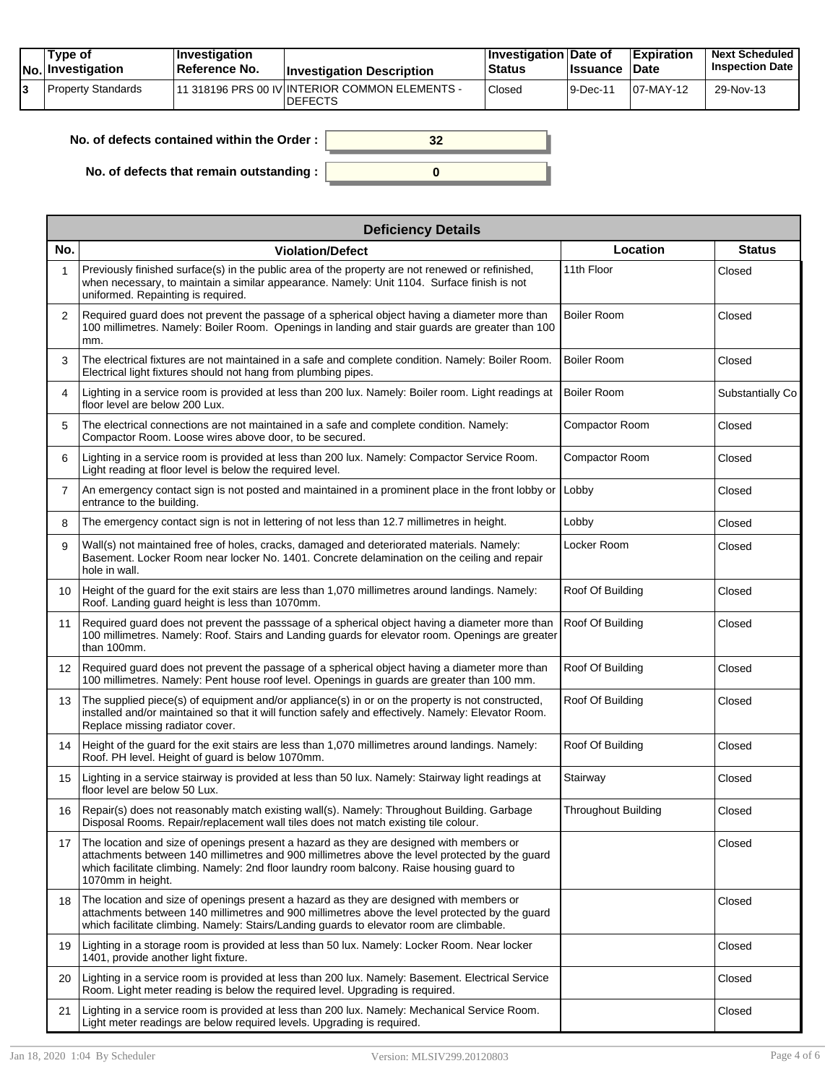| Tvpe of<br>No. Investigation | <b>Investigation</b><br>⊺Reference No. | <b>Investigation Description</b>                                  | <b>∣Investigation Date of</b><br>Status | <b>Issuance Date</b> | <b>Expiration</b> | <b>Next Scheduled</b><br><b>Inspection Date</b> |
|------------------------------|----------------------------------------|-------------------------------------------------------------------|-----------------------------------------|----------------------|-------------------|-------------------------------------------------|
| Property Standards           |                                        | 111 318196 PRS 00 IV INTERIOR COMMON ELEMENTS -<br><b>DEFECTS</b> | Closed                                  | 9-Dec-11             | $107-MAY-12$      | 29-Nov-13                                       |

| No. of defects contained within the Order: |  |
|--------------------------------------------|--|
| No. of defects that remain outstanding :   |  |

| <b>Deficiency Details</b> |                                                                                                                                                                                                                                                                                                             |                            |                  |  |  |  |  |
|---------------------------|-------------------------------------------------------------------------------------------------------------------------------------------------------------------------------------------------------------------------------------------------------------------------------------------------------------|----------------------------|------------------|--|--|--|--|
| No.                       | <b>Violation/Defect</b>                                                                                                                                                                                                                                                                                     | Location                   | <b>Status</b>    |  |  |  |  |
| 1                         | Previously finished surface(s) in the public area of the property are not renewed or refinished,<br>when necessary, to maintain a similar appearance. Namely: Unit 1104. Surface finish is not<br>uniformed. Repainting is required.                                                                        | 11th Floor                 | Closed           |  |  |  |  |
| 2                         | Required guard does not prevent the passage of a spherical object having a diameter more than<br>100 millimetres. Namely: Boiler Room. Openings in landing and stair guards are greater than 100<br>mm.                                                                                                     | Boiler Room                | Closed           |  |  |  |  |
| 3                         | The electrical fixtures are not maintained in a safe and complete condition. Namely: Boiler Room.<br>Electrical light fixtures should not hang from plumbing pipes.                                                                                                                                         | <b>Boiler Room</b>         | Closed           |  |  |  |  |
| 4                         | Lighting in a service room is provided at less than 200 lux. Namely: Boiler room. Light readings at<br>floor level are below 200 Lux.                                                                                                                                                                       | <b>Boiler Room</b>         | Substantially Co |  |  |  |  |
| 5                         | The electrical connections are not maintained in a safe and complete condition. Namely:<br>Compactor Room. Loose wires above door, to be secured.                                                                                                                                                           | Compactor Room             | Closed           |  |  |  |  |
| 6                         | Lighting in a service room is provided at less than 200 lux. Namely: Compactor Service Room.<br>Light reading at floor level is below the required level.                                                                                                                                                   | Compactor Room             | Closed           |  |  |  |  |
| $\overline{7}$            | An emergency contact sign is not posted and maintained in a prominent place in the front lobby or   Lobby<br>entrance to the building.                                                                                                                                                                      |                            | Closed           |  |  |  |  |
| 8                         | The emergency contact sign is not in lettering of not less than 12.7 millimetres in height.                                                                                                                                                                                                                 | Lobby                      | Closed           |  |  |  |  |
| 9                         | Wall(s) not maintained free of holes, cracks, damaged and deteriorated materials. Namely:<br>Basement. Locker Room near locker No. 1401. Concrete delamination on the ceiling and repair<br>hole in wall.                                                                                                   | Locker Room                | Closed           |  |  |  |  |
| 10                        | Height of the guard for the exit stairs are less than 1,070 millimetres around landings. Namely:<br>Roof. Landing guard height is less than 1070mm.                                                                                                                                                         | Roof Of Building           | Closed           |  |  |  |  |
| 11                        | Required guard does not prevent the passsage of a spherical object having a diameter more than<br>100 millimetres. Namely: Roof. Stairs and Landing guards for elevator room. Openings are greater<br>than 100mm.                                                                                           | Roof Of Building           | Closed           |  |  |  |  |
| 12                        | Required guard does not prevent the passage of a spherical object having a diameter more than<br>100 millimetres. Namely: Pent house roof level. Openings in guards are greater than 100 mm.                                                                                                                | Roof Of Building           | Closed           |  |  |  |  |
| 13                        | The supplied piece(s) of equipment and/or appliance(s) in or on the property is not constructed,<br>installed and/or maintained so that it will function safely and effectively. Namely: Elevator Room.<br>Replace missing radiator cover.                                                                  | Roof Of Building           | Closed           |  |  |  |  |
| 14                        | Height of the guard for the exit stairs are less than 1,070 millimetres around landings. Namely:<br>Roof. PH level. Height of guard is below 1070mm.                                                                                                                                                        | Roof Of Building           | Closed           |  |  |  |  |
| 15                        | Lighting in a service stairway is provided at less than 50 lux. Namely: Stairway light readings at<br>floor level are below 50 Lux.                                                                                                                                                                         | Stairway                   | Closed           |  |  |  |  |
| 16                        | Repair(s) does not reasonably match existing wall(s). Namely: Throughout Building. Garbage<br>Disposal Rooms. Repair/replacement wall tiles does not match existing tile colour.                                                                                                                            | <b>Throughout Building</b> | Closed           |  |  |  |  |
| 17                        | The location and size of openings present a hazard as they are designed with members or<br>attachments between 140 millimetres and 900 millimetres above the level protected by the guard<br>which facilitate climbing. Namely: 2nd floor laundry room balcony. Raise housing guard to<br>1070mm in height. |                            | Closed           |  |  |  |  |
| 18                        | The location and size of openings present a hazard as they are designed with members or<br>attachments between 140 millimetres and 900 millimetres above the level protected by the guard<br>which facilitate climbing. Namely: Stairs/Landing guards to elevator room are climbable.                       |                            | Closed           |  |  |  |  |
| 19                        | Lighting in a storage room is provided at less than 50 lux. Namely: Locker Room. Near locker<br>1401, provide another light fixture.                                                                                                                                                                        |                            | Closed           |  |  |  |  |
| 20                        | Lighting in a service room is provided at less than 200 lux. Namely: Basement. Electrical Service<br>Room. Light meter reading is below the required level. Upgrading is required.                                                                                                                          |                            | Closed           |  |  |  |  |
| 21                        | Lighting in a service room is provided at less than 200 lux. Namely: Mechanical Service Room.<br>Light meter readings are below required levels. Upgrading is required.                                                                                                                                     |                            | Closed           |  |  |  |  |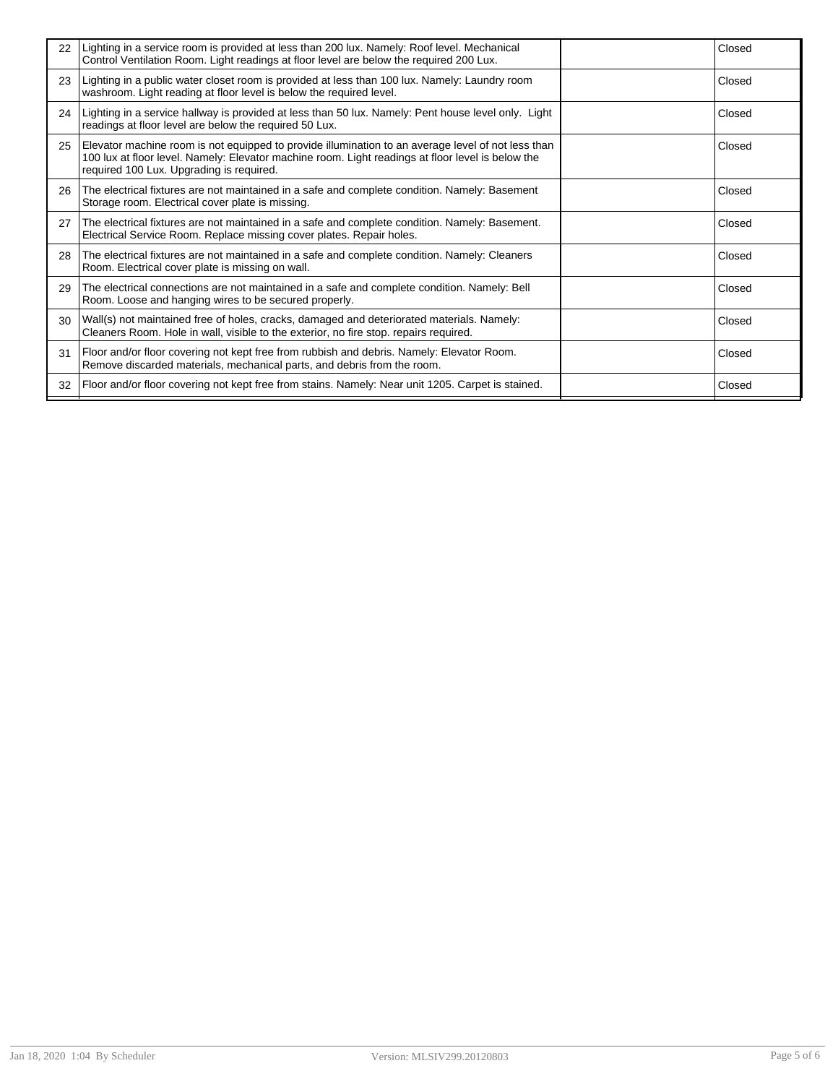| 22 | Lighting in a service room is provided at less than 200 lux. Namely: Roof level. Mechanical<br>Control Ventilation Room. Light readings at floor level are below the required 200 Lux.                                                              | Closed |
|----|-----------------------------------------------------------------------------------------------------------------------------------------------------------------------------------------------------------------------------------------------------|--------|
| 23 | Lighting in a public water closet room is provided at less than 100 lux. Namely: Laundry room<br>washroom. Light reading at floor level is below the required level.                                                                                | Closed |
| 24 | Lighting in a service hallway is provided at less than 50 lux. Namely: Pent house level only. Light<br>readings at floor level are below the required 50 Lux.                                                                                       | Closed |
| 25 | Elevator machine room is not equipped to provide illumination to an average level of not less than<br>100 lux at floor level. Namely: Elevator machine room. Light readings at floor level is below the<br>required 100 Lux. Upgrading is required. | Closed |
| 26 | The electrical fixtures are not maintained in a safe and complete condition. Namely: Basement<br>Storage room. Electrical cover plate is missing.                                                                                                   | Closed |
| 27 | The electrical fixtures are not maintained in a safe and complete condition. Namely: Basement.<br>Electrical Service Room. Replace missing cover plates. Repair holes.                                                                              | Closed |
| 28 | The electrical fixtures are not maintained in a safe and complete condition. Namely: Cleaners<br>Room. Electrical cover plate is missing on wall.                                                                                                   | Closed |
| 29 | The electrical connections are not maintained in a safe and complete condition. Namely: Bell<br>Room. Loose and hanging wires to be secured properly.                                                                                               | Closed |
| 30 | Wall(s) not maintained free of holes, cracks, damaged and deteriorated materials. Namely:<br>Cleaners Room. Hole in wall, visible to the exterior, no fire stop. repairs required.                                                                  | Closed |
| 31 | Floor and/or floor covering not kept free from rubbish and debris. Namely: Elevator Room.<br>Remove discarded materials, mechanical parts, and debris from the room.                                                                                | Closed |
| 32 | Floor and/or floor covering not kept free from stains. Namely: Near unit 1205. Carpet is stained.                                                                                                                                                   | Closed |